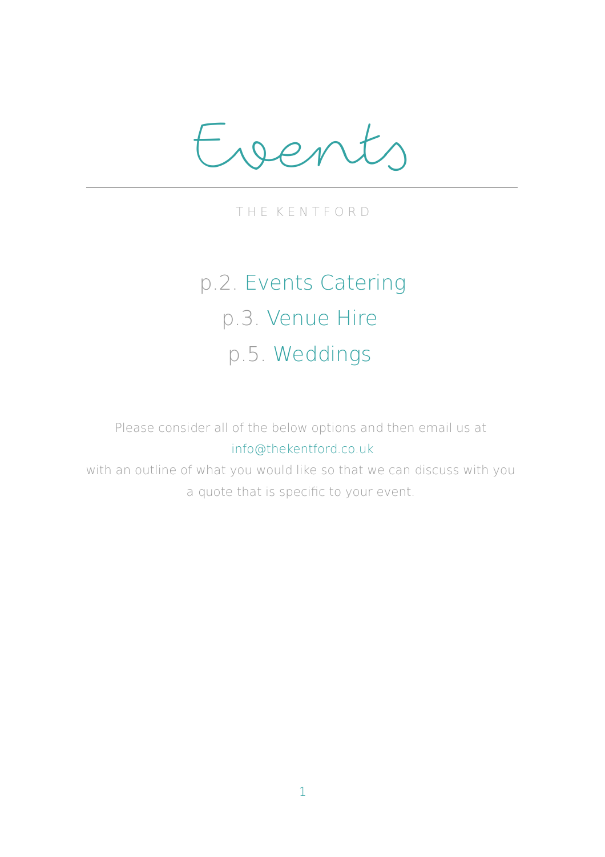Events

T H E K E N T F O R D

# p.2. Events Catering p.3. Venue Hire p.5. Weddings

Please consider all of the below options and then email us at info@thekentford.co.uk

with an outline of what you would like so that we can discuss with you a quote that is specific to your event.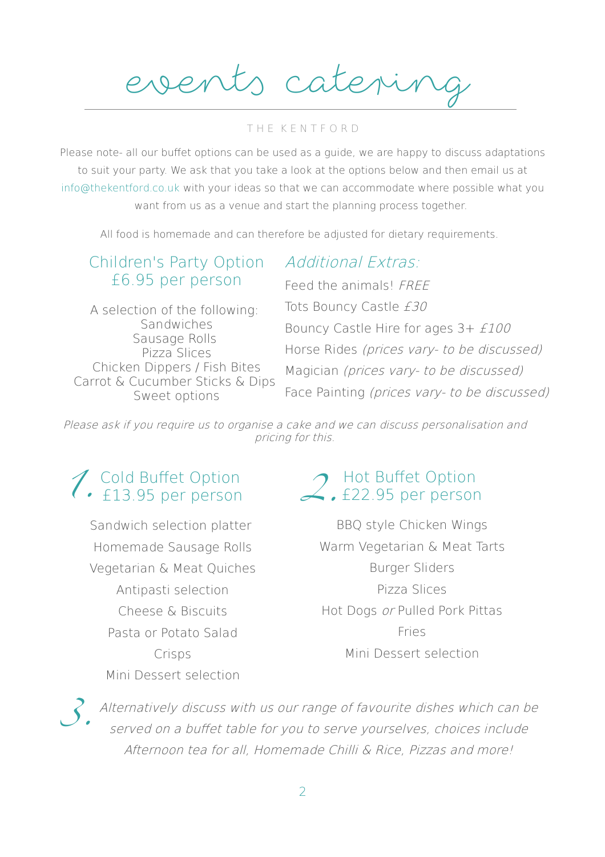events cateri

#### T H E K E N T F O R D

Please note- all our buffet options can be used as a quide, we are happy to discuss adaptations to suit your party. We ask that you take a look at the options below and then email us at info@thekentford.co.uk with your ideas so that we can accommodate where possible what you want from us as a venue and start the planning process together.

All food is homemade and can therefore be adjusted for dietary requirements.

Additional Extras:

#### Children's Party Option £6.95 per person

A selection of the following: **Sandwiches** Sausage Rolls Pizza Slices Chicken Dippers / Fish Bites Carrot & Cucumber Sticks & Dips Sweet options

Feed the animals! FREE Tots Bouncy Castle £30 Bouncy Castle Hire for ages 3+ £100 Horse Rides (prices vary- to be discussed)

Magician (prices vary- to be discussed) Face Painting (prices vary- to be discussed)

Please ask if you require us to organise a cake and we can discuss personalisation and pricing for this.

## Cold Bufet Option  $\overline{13.95}$  per person

Sandwich selection platter Homemade Sausage Rolls Vegetarian & Meat Quiches Antipasti selection Cheese & Biscuits Pasta or Potato Salad Crisps Mini Dessert selection

#### Hot Buffet Option £22.95 per person

BBQ style Chicken Wings Warm Vegetarian & Meat Tarts Burger Sliders Pizza Slices Hot Dogs or Pulled Pork Pittas Fries Mini Dessert selection

Alternatively discuss with us our range of favourite dishes which can be served on a buffet table for you to serve yourselves, choices include Afternoon tea for all, Homemade Chilli & Rice, Pizzas and more!  $\mathcal{O}$  .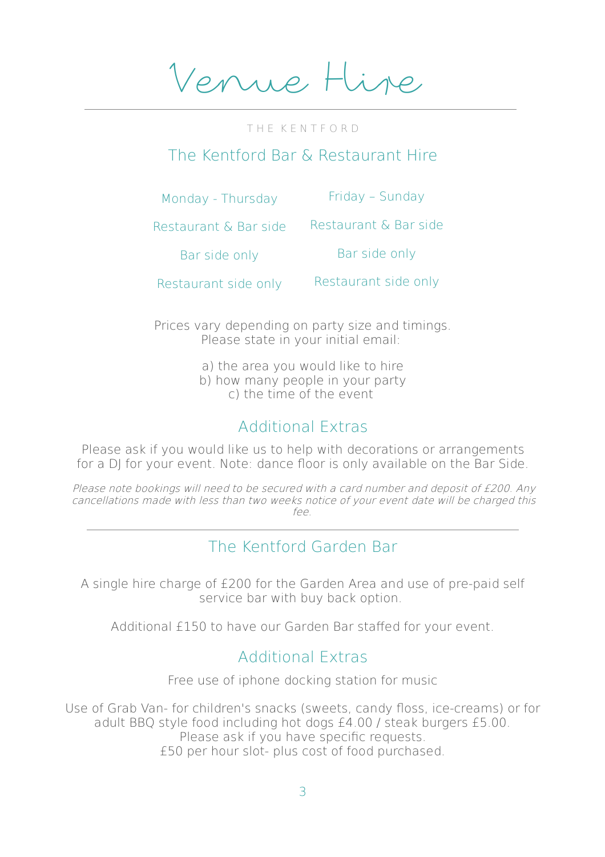Venue Hire

T H E K E N T F O R D

#### The Kentford Bar & Restaurant Hire

Monday - Thursday

Friday – Sunday

Restaurant & Bar side Restaurant & Bar side

Bar side only

Bar side only

Restaurant side only Restaurant side only

Prices vary depending on party size and timings. Please state in your initial email:

- a) the area you would like to hire
- b) how many people in your party
	- c) the time of the event

#### Additional Extras

Please ask if you would like us to help with decorations or arrangements for a DJ for your event. Note: dance floor is only available on the Bar Side.

Please note bookings will need to be secured with a card number and deposit of £200. Any cancellations made with less than two weeks notice of your event date will be charged this  $f\infty$ 

#### The Kentford Garden Bar

A single hire charge of £200 for the Garden Area and use of pre-paid self service bar with buy back option.

Additional £150 to have our Garden Bar stafed for your event.

#### Additional Extras

Free use of iphone docking station for music

Use of Grab Van- for children's snacks (sweets, candy floss, ice-creams) or for adult BBQ style food including hot dogs £4.00 / steak burgers £5.00. Please ask if you have specific requests. £50 per hour slot- plus cost of food purchased.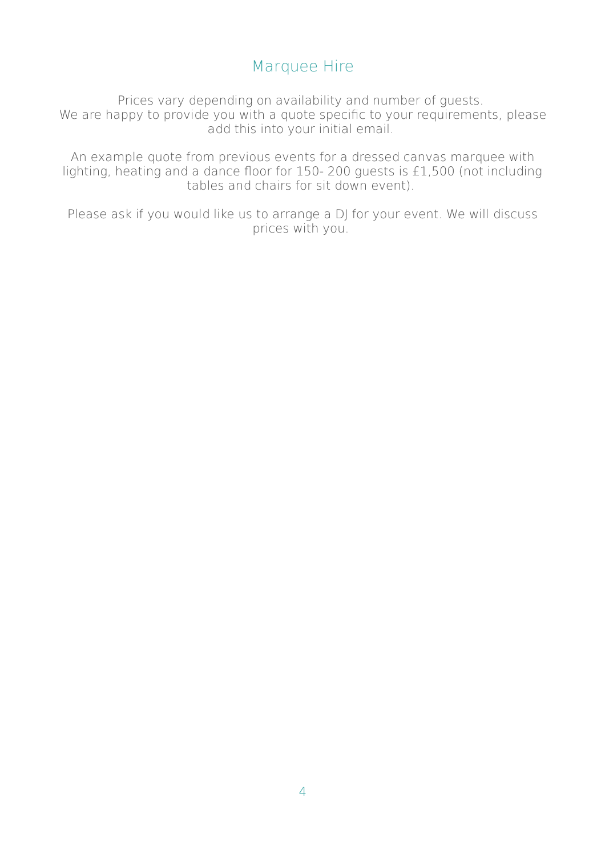### Marquee Hire

Prices vary depending on availability and number of guests. We are happy to provide you with a quote specific to your requirements, please add this into your initial email.

An example quote from previous events for a dressed canvas marquee with lighting, heating and a dance foor for 150- 200 guests is £1,500 (not including tables and chairs for sit down event).

Please ask if you would like us to arrange a DJ for your event. We will discuss prices with you.